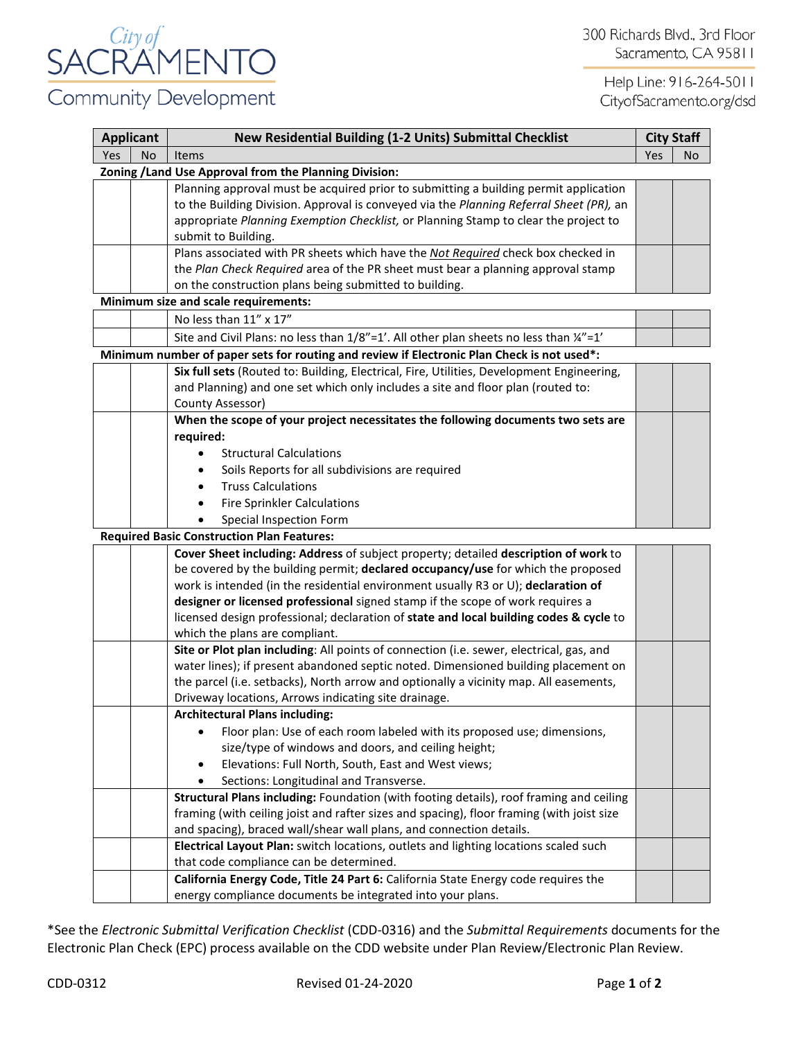

Help Line: 916-264-5011 CityofSacramento.org/dsd

| <b>Applicant</b>                                       |           | New Residential Building (1-2 Units) Submittal Checklist                                   |     | <b>City Staff</b> |  |  |  |  |
|--------------------------------------------------------|-----------|--------------------------------------------------------------------------------------------|-----|-------------------|--|--|--|--|
| Yes                                                    | <b>No</b> | Items                                                                                      | Yes | No                |  |  |  |  |
| Zoning / Land Use Approval from the Planning Division: |           |                                                                                            |     |                   |  |  |  |  |
|                                                        |           | Planning approval must be acquired prior to submitting a building permit application       |     |                   |  |  |  |  |
|                                                        |           | to the Building Division. Approval is conveyed via the Planning Referral Sheet (PR), an    |     |                   |  |  |  |  |
|                                                        |           | appropriate Planning Exemption Checklist, or Planning Stamp to clear the project to        |     |                   |  |  |  |  |
|                                                        |           | submit to Building.                                                                        |     |                   |  |  |  |  |
|                                                        |           | Plans associated with PR sheets which have the Not Required check box checked in           |     |                   |  |  |  |  |
|                                                        |           | the Plan Check Required area of the PR sheet must bear a planning approval stamp           |     |                   |  |  |  |  |
|                                                        |           | on the construction plans being submitted to building.                                     |     |                   |  |  |  |  |
|                                                        |           | Minimum size and scale requirements:                                                       |     |                   |  |  |  |  |
|                                                        |           | No less than 11" x 17"                                                                     |     |                   |  |  |  |  |
|                                                        |           | Site and Civil Plans: no less than 1/8"=1'. All other plan sheets no less than 1/4"=1"     |     |                   |  |  |  |  |
|                                                        |           | Minimum number of paper sets for routing and review if Electronic Plan Check is not used*: |     |                   |  |  |  |  |
|                                                        |           | Six full sets (Routed to: Building, Electrical, Fire, Utilities, Development Engineering,  |     |                   |  |  |  |  |
|                                                        |           | and Planning) and one set which only includes a site and floor plan (routed to:            |     |                   |  |  |  |  |
|                                                        |           | County Assessor)                                                                           |     |                   |  |  |  |  |
|                                                        |           | When the scope of your project necessitates the following documents two sets are           |     |                   |  |  |  |  |
|                                                        |           | required:                                                                                  |     |                   |  |  |  |  |
|                                                        |           | <b>Structural Calculations</b>                                                             |     |                   |  |  |  |  |
|                                                        |           | Soils Reports for all subdivisions are required                                            |     |                   |  |  |  |  |
|                                                        |           | <b>Truss Calculations</b>                                                                  |     |                   |  |  |  |  |
|                                                        |           | <b>Fire Sprinkler Calculations</b>                                                         |     |                   |  |  |  |  |
|                                                        |           | Special Inspection Form                                                                    |     |                   |  |  |  |  |
|                                                        |           | <b>Required Basic Construction Plan Features:</b>                                          |     |                   |  |  |  |  |
|                                                        |           | Cover Sheet including: Address of subject property; detailed description of work to        |     |                   |  |  |  |  |
|                                                        |           | be covered by the building permit; declared occupancy/use for which the proposed           |     |                   |  |  |  |  |
|                                                        |           | work is intended (in the residential environment usually R3 or U); declaration of          |     |                   |  |  |  |  |
|                                                        |           | designer or licensed professional signed stamp if the scope of work requires a             |     |                   |  |  |  |  |
|                                                        |           | licensed design professional; declaration of state and local building codes & cycle to     |     |                   |  |  |  |  |
|                                                        |           | which the plans are compliant.                                                             |     |                   |  |  |  |  |
|                                                        |           | Site or Plot plan including: All points of connection (i.e. sewer, electrical, gas, and    |     |                   |  |  |  |  |
|                                                        |           | water lines); if present abandoned septic noted. Dimensioned building placement on         |     |                   |  |  |  |  |
|                                                        |           | the parcel (i.e. setbacks), North arrow and optionally a vicinity map. All easements,      |     |                   |  |  |  |  |
|                                                        |           | Driveway locations, Arrows indicating site drainage.                                       |     |                   |  |  |  |  |
|                                                        |           | <b>Architectural Plans including:</b>                                                      |     |                   |  |  |  |  |
|                                                        |           | Floor plan: Use of each room labeled with its proposed use; dimensions,                    |     |                   |  |  |  |  |
|                                                        |           | size/type of windows and doors, and ceiling height;                                        |     |                   |  |  |  |  |
|                                                        |           | Elevations: Full North, South, East and West views;<br>$\bullet$                           |     |                   |  |  |  |  |
|                                                        |           | Sections: Longitudinal and Transverse.                                                     |     |                   |  |  |  |  |
|                                                        |           | Structural Plans including: Foundation (with footing details), roof framing and ceiling    |     |                   |  |  |  |  |
|                                                        |           | framing (with ceiling joist and rafter sizes and spacing), floor framing (with joist size  |     |                   |  |  |  |  |
|                                                        |           | and spacing), braced wall/shear wall plans, and connection details.                        |     |                   |  |  |  |  |
|                                                        |           | Electrical Layout Plan: switch locations, outlets and lighting locations scaled such       |     |                   |  |  |  |  |
|                                                        |           | that code compliance can be determined.                                                    |     |                   |  |  |  |  |
|                                                        |           | California Energy Code, Title 24 Part 6: California State Energy code requires the         |     |                   |  |  |  |  |
|                                                        |           | energy compliance documents be integrated into your plans.                                 |     |                   |  |  |  |  |

\*See the *Electronic Submittal Verification Checklist* (CDD-0316) and the *Submittal Requirements* documents for the Electronic Plan Check (EPC) process available on the CDD website under Plan Review/Electronic Plan Review.